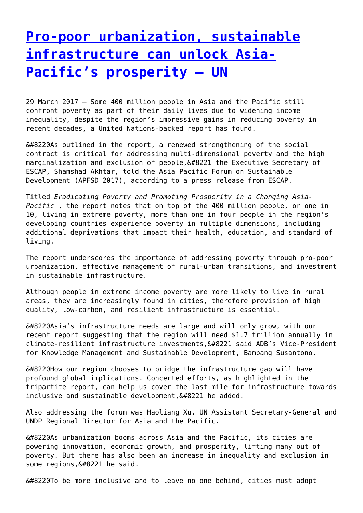## **[Pro-poor urbanization, sustainable](http://www.government-world.com/pro-poor-urbanization-sustainable-infrastructure-can-unlock-asia-pacifics-prosperity-un/) [infrastructure can unlock Asia-](http://www.government-world.com/pro-poor-urbanization-sustainable-infrastructure-can-unlock-asia-pacifics-prosperity-un/)[Pacific's prosperity – UN](http://www.government-world.com/pro-poor-urbanization-sustainable-infrastructure-can-unlock-asia-pacifics-prosperity-un/)**

29 March 2017 – Some 400 million people in Asia and the Pacific still confront poverty as part of their daily lives due to widening income inequality, despite the region's impressive gains in reducing poverty in recent decades, a United Nations-backed report has found.

 $\&\#8220$ As outlined in the report, a renewed strengthening of the social contract is critical for addressing multi-dimensional poverty and the high marginalization and exclusion of people,  $”$  the Executive Secretary of ESCAP, Shamshad Akhtar, told the Asia Pacific Forum on Sustainable Development (APFSD 2017), according to a press release from ESCAP.

Titled *Eradicating Poverty and Promoting Prosperity in a Changing Asia-Pacific* , the report notes that on top of the 400 million people, or one in 10, living in extreme poverty, more than one in four people in the region's developing countries experience poverty in multiple dimensions, including additional deprivations that impact their health, education, and standard of living.

The report underscores the importance of addressing poverty through pro-poor urbanization, effective management of rural-urban transitions, and investment in sustainable infrastructure.

Although people in extreme income poverty are more likely to live in rural areas, they are increasingly found in cities, therefore provision of high quality, low-carbon, and resilient infrastructure is essential.

 $\&\#8220$ Asia's infrastructure needs are large and will only grow, with our recent report suggesting that the region will need \$1.7 trillion annually in climate-resilient infrastructure investments, 6#8221 said ADB's Vice-President for Knowledge Management and Sustainable Development, Bambang Susantono.

 $\&\#8220$ How our region chooses to bridge the infrastructure gap will have profound global implications. Concerted efforts, as highlighted in the tripartite report, can help us cover the last mile for infrastructure towards  $inclusive$  and sustainable development, $&48221$  he added.

Also addressing the forum was Haoliang Xu, UN Assistant Secretary-General and UNDP Regional Director for Asia and the Pacific.

 $\&\#8220$ As urbanization booms across Asia and the Pacific, its cities are powering innovation, economic growth, and prosperity, lifting many out of poverty. But there has also been an increase in inequality and exclusion in some regions, &#8221 he said.

 $“$ To be more inclusive and to leave no one behind, cities must adopt